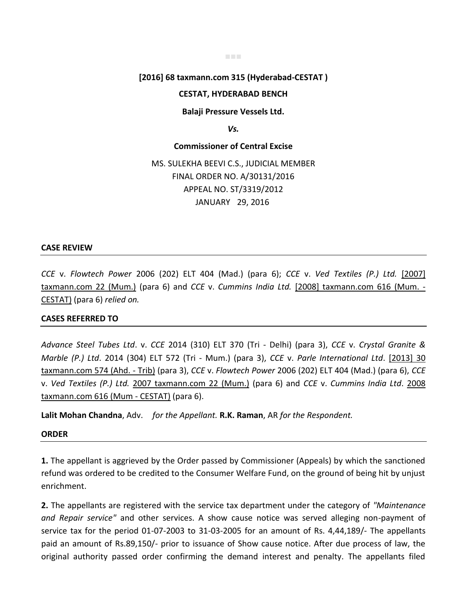# **[2016] 68 taxmann.com 315 (Hyderabad-CESTAT )**

■■■

### **CESTAT, HYDERABAD BENCH**

**Balaji Pressure Vessels Ltd.** 

*Vs.* 

**Commissioner of Central Excise** 

MS. SULEKHA BEEVI C.S., JUDICIAL MEMBER FINAL ORDER NO. A/30131/2016 APPEAL NO. ST/3319/2012 JANUARY 29, 2016

#### **CASE REVIEW**

*CCE* v. *Flowtech Power* 2006 (202) ELT 404 (Mad.) (para 6); *CCE* v. *Ved Textiles (P.) Ltd.* [2007] taxmann.com 22 (Mum.) (para 6) and *CCE* v. *Cummins India Ltd.* [2008] taxmann.com 616 (Mum. - CESTAT) (para 6) *relied on.*

## **CASES REFERRED TO**

*Advance Steel Tubes Ltd*. v. *CCE* 2014 (310) ELT 370 (Tri - Delhi) (para 3), *CCE* v. *Crystal Granite & Marble (P.) Ltd*. 2014 (304) ELT 572 (Tri - Mum.) (para 3), *CCE* v. *Parle International Ltd*. [2013] 30 taxmann.com 574 (Ahd. - Trib) (para 3), *CCE* v. *Flowtech Power* 2006 (202) ELT 404 (Mad.) (para 6), *CCE* v. *Ved Textiles (P.) Ltd.* 2007 taxmann.com 22 (Mum.) (para 6) and *CCE* v. *Cummins India Ltd*. 2008 taxmann.com 616 (Mum - CESTAT) (para 6).

**Lalit Mohan Chandna**, Adv. *for the Appellant.* **R.K. Raman**, AR *for the Respondent.*

#### **ORDER**

**1.** The appellant is aggrieved by the Order passed by Commissioner (Appeals) by which the sanctioned refund was ordered to be credited to the Consumer Welfare Fund, on the ground of being hit by unjust enrichment.

**2.** The appellants are registered with the service tax department under the category of *"Maintenance and Repair service"* and other services. A show cause notice was served alleging non-payment of service tax for the period 01-07-2003 to 31-03-2005 for an amount of Rs. 4,44,189/- The appellants paid an amount of Rs.89,150/- prior to issuance of Show cause notice. After due process of law, the original authority passed order confirming the demand interest and penalty. The appellants filed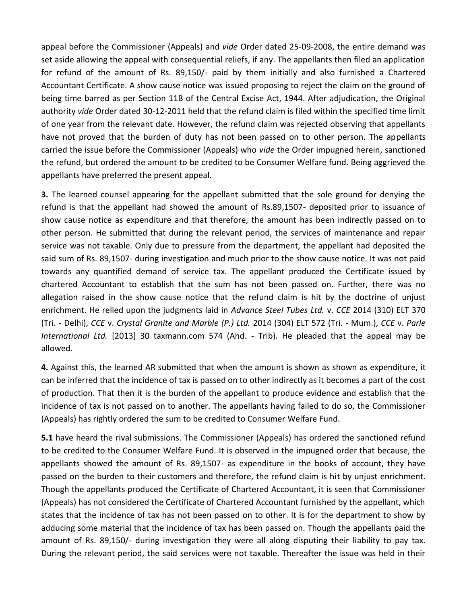appeal before the Commissioner (Appeals) and *vide* Order dated 25-09-2008, the entire demand was set aside allowing the appeal with consequential reliefs, if any. The appellants then filed an application for refund of the amount of Rs. 89,150/- paid by them initially and also furnished a Chartered Accountant Certificate. A show cause notice was issued proposing to reject the claim on the ground of being time barred as per Section 11B of the Central Excise Act, 1944. After adjudication, the Original authority *vide* Order dated 30-12-2011 held that the refund claim is filed within the specified time limit of one year from the relevant date. However, the refund claim was rejected observing that appellants have not proved that the burden of duty has not been passed on to other person. The appellants carried the issue before the Commissioner (Appeals) who *vide* the Order impugned herein, sanctioned the refund, but ordered the amount to be credited to be Consumer Welfare fund. Being aggrieved the appellants have preferred the present appeal.

**3.** The learned counsel appearing for the appellant submitted that the sole ground for denying the refund is that the appellant had showed the amount of Rs.89,1507- deposited prior to issuance of show cause notice as expenditure and that therefore, the amount has been indirectly passed on to other person. He submitted that during the relevant period, the services of maintenance and repair service was not taxable. Only due to pressure from the department, the appellant had deposited the said sum of Rs. 89,1507- during investigation and much prior to the show cause notice. It was not paid towards any quantified demand of service tax. The appellant produced the Certificate issued by chartered Accountant to establish that the sum has not been passed on. Further, there was no allegation raised in the show cause notice that the refund claim is hit by the doctrine of unjust enrichment. He relied upon the judgments laid in *Advance Steel Tubes Ltd.* v. *CCE* 2014 (310) ELT 370 (Tri. - Delhi), *CCE* v. *Crystal Granite and Marble (P.) Ltd.* 2014 (304) ELT 572 (Tri. - Mum.), *CCE* v. *Parle International Ltd.* [2013] 30 taxmann.com 574 (Ahd. - Trib). He pleaded that the appeal may be allowed.

**4.** Against this, the learned AR submitted that when the amount is shown as shown as expenditure, it can be inferred that the incidence of tax is passed on to other indirectly as it becomes a part of the cost of production. That then it is the burden of the appellant to produce evidence and establish that the incidence of tax is not passed on to another. The appellants having failed to do so, the Commissioner (Appeals) has rightly ordered the sum to be credited to Consumer Welfare Fund.

**5.1** have heard the rival submissions. The Commissioner (Appeals) has ordered the sanctioned refund to be credited to the Consumer Welfare Fund. It is observed in the impugned order that because, the appellants showed the amount of Rs. 89,1507- as expenditure in the books of account, they have passed on the burden to their customers and therefore, the refund claim is hit by unjust enrichment. Though the appellants produced the Certificate of Chartered Accountant, it is seen that Commissioner (Appeals) has not considered the Certificate of Chartered Accountant furnished by the appellant, which states that the incidence of tax has not been passed on to other. It is for the department to show by adducing some material that the incidence of tax has been passed on. Though the appellants paid the amount of Rs. 89,150/- during investigation they were all along disputing their liability to pay tax. During the relevant period, the said services were not taxable. Thereafter the issue was held in their